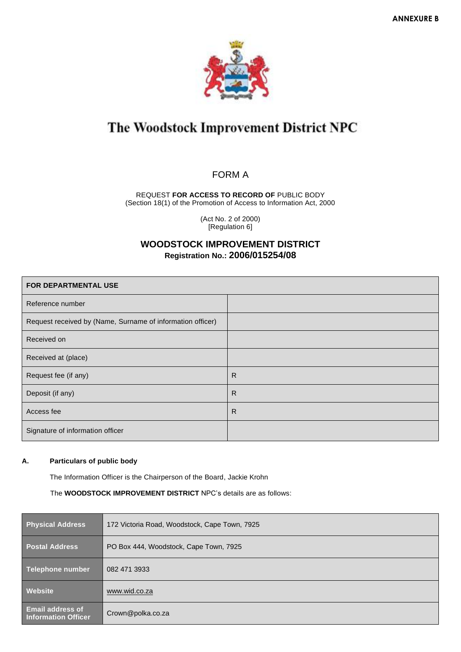

# The Woodstock Improvement District NPC

# FORM A

REQUEST **FOR ACCESS TO RECORD OF** PUBLIC BODY (Section 18(1) of the Promotion of Access to Information Act, 2000

> (Act No. 2 of 2000) [Regulation 6]

# **WOODSTOCK IMPROVEMENT DISTRICT Registration No.: 2006/015254/08**

| <b>FOR DEPARTMENTAL USE</b>                                |   |  |  |  |  |
|------------------------------------------------------------|---|--|--|--|--|
| Reference number                                           |   |  |  |  |  |
| Request received by (Name, Surname of information officer) |   |  |  |  |  |
| Received on                                                |   |  |  |  |  |
| Received at (place)                                        |   |  |  |  |  |
| Request fee (if any)                                       | R |  |  |  |  |
| Deposit (if any)                                           | R |  |  |  |  |
| Access fee                                                 | R |  |  |  |  |
| Signature of information officer                           |   |  |  |  |  |

## **A. Particulars of public body**

The Information Officer is the Chairperson of the Board, Jackie Krohn

The **WOODSTOCK IMPROVEMENT DISTRICT** NPC's details are as follows:

| <b>Physical Address</b>                               | 172 Victoria Road, Woodstock, Cape Town, 7925 |
|-------------------------------------------------------|-----------------------------------------------|
| <b>Postal Address</b>                                 | PO Box 444, Woodstock, Cape Town, 7925        |
| Telephone number                                      | 082 471 3933                                  |
| Website                                               | www.wid.co.za                                 |
| <b>Email address of</b><br><b>Information Officer</b> | Crown@polka.co.za                             |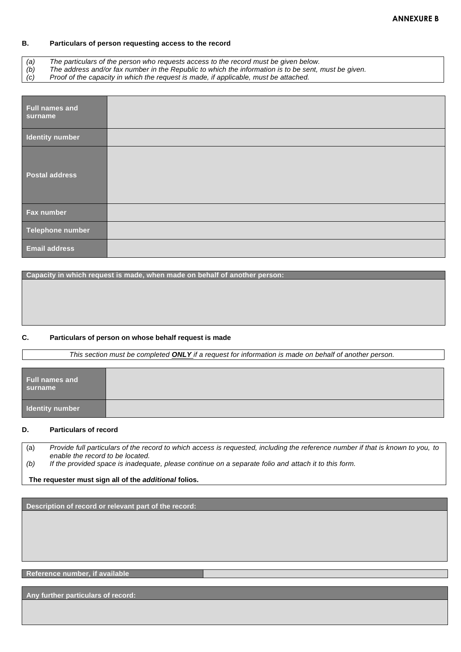#### **B. Particulars of person requesting access to the record**

*(a) The particulars of the person who requests access to the record must be given below.*

*(b) The address and/or fax number in the Republic to which the information is to be sent, must be given.*

*(c) Proof of the capacity in which the request is made, if applicable, must be attached.*

| Full names and<br>surname |  |
|---------------------------|--|
| <b>Identity number</b>    |  |
| <b>Postal address</b>     |  |
| Fax number                |  |
| Telephone number          |  |
| <b>Email address</b>      |  |

**Capacity in which request is made, when made on behalf of another person:**

# **C. Particulars of person on whose behalf request is made**

 *This section must be completed ONLY if a request for information is made on behalf of another person.*

| <b>Full names and</b><br>surname |  |
|----------------------------------|--|
| Identity number                  |  |

## **D. Particulars of record**

(a) *Provide full particulars of the record to which access is requested, including the reference number if that is known to you, to enable the record to be located. (b) If the provided space is inadequate, please continue on a separate folio and attach it to this form.*

#### **The requester must sign all of the** *additional* **folios.**

**Description of record or relevant part of the record:**

### **Reference number, if available**

**Any further particulars of record:**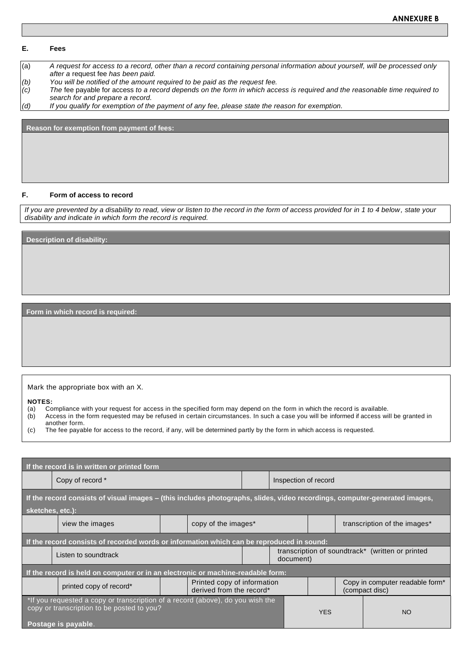#### **E. Fees**

(a) *A request for access to a record, other than a record containing personal information about yourself, will be processed only after a* request fee *has been paid.*

*(b) You will be notified of the amount required to be paid as the request fee.*

*(c) The* fee payable for access *to a record depends on the form in which access is required and the reasonable time required to search for and prepare a record.*

*(d) If you qualify for exemption of the payment of any fee, please state the reason for exemption.*

**Reason for exemption from payment of fees:**

#### **F. Form of access to record**

*If you are prevented by a disability to read, view or listen to the record in the form of access provided for in 1 to 4 below, state your disability and indicate in which form the record is required.*

**Description of disability:** 

**Form in which record is required:**

#### Mark the appropriate box with an X.

**NOTES:**

- (a) Compliance with your request for access in the specified form may depend on the form in which the record is available.
- (b) Access in the form requested may be refused in certain circumstances. In such a case you will be informed if access will be granted in another form.
- (c) The fee payable for access to the record, if any, will be determined partly by the form in which access is requested.

| If the record is in written or printed form                                                                                                         |                         |  |                                                         |  |                      |                                                               |  |                                                               |  |  |
|-----------------------------------------------------------------------------------------------------------------------------------------------------|-------------------------|--|---------------------------------------------------------|--|----------------------|---------------------------------------------------------------|--|---------------------------------------------------------------|--|--|
|                                                                                                                                                     | Copy of record *        |  |                                                         |  | Inspection of record |                                                               |  |                                                               |  |  |
| If the record consists of visual images - (this includes photographs, slides, video recordings, computer-generated images,<br>sketches, etc.):      |                         |  |                                                         |  |                      |                                                               |  |                                                               |  |  |
|                                                                                                                                                     | view the images         |  | copy of the images*                                     |  |                      |                                                               |  | transcription of the images*                                  |  |  |
| If the record consists of recorded words or information which can be reproduced in sound:                                                           |                         |  |                                                         |  |                      |                                                               |  |                                                               |  |  |
|                                                                                                                                                     | Listen to soundtrack    |  |                                                         |  |                      | transcription of soundtrack* (written or printed<br>document) |  |                                                               |  |  |
| If the record is held on computer or in an electronic or machine-readable form:                                                                     |                         |  |                                                         |  |                      |                                                               |  |                                                               |  |  |
|                                                                                                                                                     | printed copy of record* |  | Printed copy of information<br>derived from the record* |  |                      |                                                               |  | Copy in computer readable form <sup>*</sup><br>(compact disc) |  |  |
| *If you requested a copy or transcription of a record (above), do you wish the<br>copy or transcription to be posted to you?<br>Postage is payable. |                         |  |                                                         |  | <b>YES</b>           | <b>NO</b>                                                     |  |                                                               |  |  |